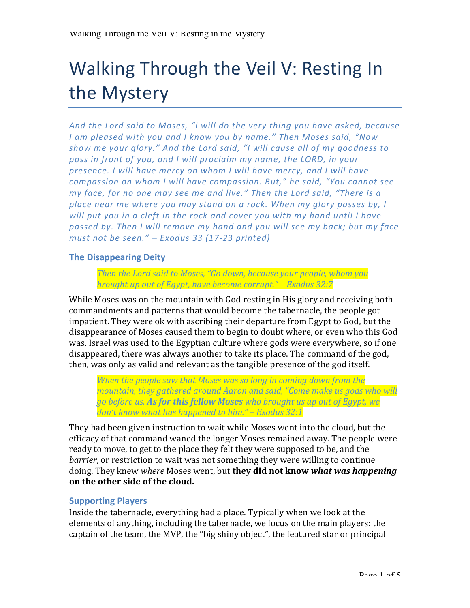# Walking Through the Veil V: Resting In the Mystery

And the Lord said to Moses, "I will do the very thing you have asked, because I am pleased with you and I know you by name." Then Moses said, "Now show me your glory." And the Lord said, "I will cause all of my goodness to pass in front of you, and I will proclaim my name, the LORD, in your presence. I will have mercy on whom I will have mercy, and I will have *compassion* on whom I will have compassion. But," he said, "You cannot see *my* face, for no one may see me and live." Then the Lord said, "There is a place near me where you may stand on a rock. When my glory passes by, I *will* put you in a cleft in the rock and cover you with my hand until I have passed by. Then I will remove my hand and you will see my back; but my face *must not be seen." – Exodus 33 (17-23 printed)*

## **The Disappearing Deity**

*Then the Lord said to Moses, "Go down, because your people, whom you brought up out of Egypt, have become corrupt." – Exodus 32:7* 

While Moses was on the mountain with God resting in His glory and receiving both commandments and patterns that would become the tabernacle, the people got impatient. They were ok with ascribing their departure from Egypt to God, but the disappearance of Moses caused them to begin to doubt where, or even who this God was. Israel was used to the Egyptian culture where gods were everywhere, so if one disappeared, there was always another to take its place. The command of the god, then, was only as valid and relevant as the tangible presence of the god itself.

*When the people saw that Moses was so long in coming down from the mountain, they gathered around Aaron and said, "Come make us gods who will go* before us. **As for this fellow Moses** who brought us up out of Egypt, we don't know what has happened to him." – *Exodus* 32:1

They had been given instruction to wait while Moses went into the cloud, but the efficacy of that command waned the longer Moses remained away. The people were ready to move, to get to the place they felt they were supposed to be, and the *barrier*, or restriction to wait was not something they were willing to continue doing. They knew *where* Moses went, but **they did not know** *what* **was happening** on the other side of the cloud.

## **Supporting Players**

Inside the tabernacle, everything had a place. Typically when we look at the elements of anything, including the tabernacle, we focus on the main players: the captain of the team, the MVP, the "big shiny object", the featured star or principal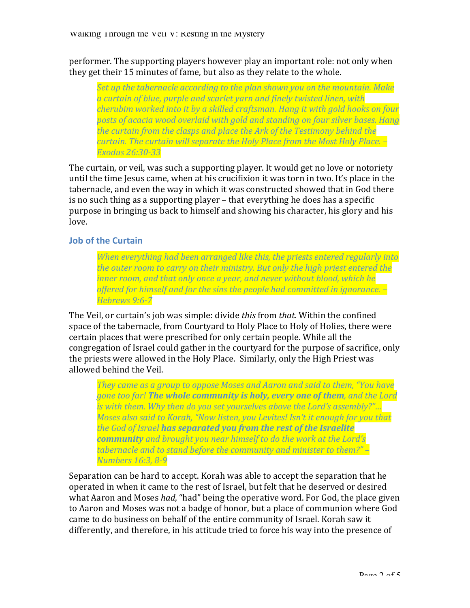performer. The supporting players however play an important role: not only when they get their 15 minutes of fame, but also as they relate to the whole.

Set up the tabernacle according to the plan shown you on the mountain. Make *a curtain of blue, purple and scarlet yarn and finely twisted linen, with cherubim worked into it by a skilled craftsman. Hang it with gold hooks on four* posts of acacia wood overlaid with gold and standing on four silver bases. Hang *the curtain from the clasps and place the Ark of the Testimony behind the curtain.* The curtain will separate the Holy Place from the Most Holy Place. -*Exodus 26:30-33*

The curtain, or veil, was such a supporting player. It would get no love or notoriety until the time Jesus came, when at his crucifixion it was torn in two. It's place in the tabernacle, and even the way in which it was constructed showed that in God there is no such thing as a supporting player  $-$  that everything he does has a specific purpose in bringing us back to himself and showing his character, his glory and his love. 

### **Job of the Curtain**

*When* everything had been arranged like this, the priests entered regularly into *the outer room to carry on their ministry. But only the high priest entered the inner room, and that only once a year, and never without blood, which he* offered for himself and for the sins the people had committed in ignorance.  $-$ *Hebrews 9:6-7*

The Veil, or curtain's job was simple: divide *this* from *that*. Within the confined space of the tabernacle, from Courtyard to Holy Place to Holy of Holies, there were certain places that were prescribed for only certain people. While all the congregation of Israel could gather in the courtyard for the purpose of sacrifice, only the priests were allowed in the Holy Place. Similarly, only the High Priest was allowed behind the Veil.

*They came as a group to oppose Moses and Aaron and said to them. "You have gone too far!* The whole community is holy, every one of them, and the Lord *is* with them. Why then do you set yourselves above the Lord's assembly?"... *Moses also said to Korah, "Now listen, you Levites! Isn't it enough for you that the God of Israel has separated you from the rest of the Israelite community* and brought you near himself to do the work at the Lord's tabernacle and to stand before the community and minister to them?" – *Numbers 16:3, 8-9*

Separation can be hard to accept. Korah was able to accept the separation that he operated in when it came to the rest of Israel, but felt that he deserved or desired what Aaron and Moses *had*, "had" being the operative word. For God, the place given to Aaron and Moses was not a badge of honor, but a place of communion where God came to do business on behalf of the entire community of Israel. Korah saw it differently, and therefore, in his attitude tried to force his way into the presence of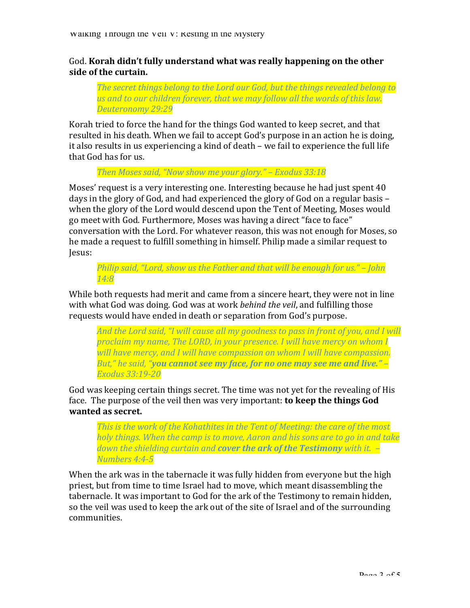God. **Korah didn't fully understand what was really happening on the other side of the curtain.**

**The secret things belong to the Lord our God, but the things revealed belong to** us and to our children forever, that we may follow all the words of this law. *Deuteronomy 29:29*

Korah tried to force the hand for the things God wanted to keep secret, and that resulted in his death. When we fail to accept God's purpose in an action he is doing, it also results in us experiencing a kind of death – we fail to experience the full life that God has for us.

*Then Moses said, "Now show me your glory." – Exodus 33:18* 

Moses' request is a very interesting one. Interesting because he had just spent 40 days in the glory of God, and had experienced the glory of God on a regular basis – when the glory of the Lord would descend upon the Tent of Meeting, Moses would go meet with God. Furthermore, Moses was having a direct "face to face" conversation with the Lord. For whatever reason, this was not enough for Moses, so he made a request to fulfill something in himself. Philip made a similar request to Jesus:

*Philip said, "Lord, show us the Father and that will be enough for us." – John 14:8*

While both requests had merit and came from a sincere heart, they were not in line with what God was doing. God was at work *behind the veil*, and fulfilling those requests would have ended in death or separation from God's purpose.

*And the Lord said, "I will cause all my goodness to pass in front of you, and I will proclaim my name, The LORD, in your presence. I will have mercy on whom I* will have mercy, and I will have compassion on whom I will have compassion. *But,"* he said, "**you cannot see my face, for no one may see me and live." –** *Exodus 33:19-20*

God was keeping certain things secret. The time was not yet for the revealing of His face. The purpose of the veil then was very important: **to keep the things God** wanted as secret.

*This is the work of the Kohathites in the Tent of Meeting: the care of the most holy things. When the camp is to move, Aaron and his sons are to go in and take down the shielding curtain and cover the ark of the Testimony with it.*  $-$ *Numbers 4:4-5*

When the ark was in the tabernacle it was fully hidden from everyone but the high priest, but from time to time Israel had to move, which meant disassembling the tabernacle. It was important to God for the ark of the Testimony to remain hidden, so the veil was used to keep the ark out of the site of Israel and of the surrounding communities.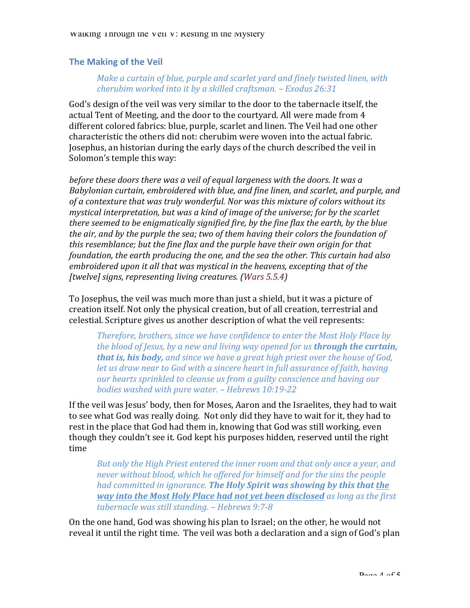### **The Making of the Veil**

### *Make a curtain of blue, purple and scarlet yard and finely twisted linen, with cherubim worked into it by a skilled craftsman. – Exodus 26:31*

God's design of the veil was very similar to the door to the tabernacle itself, the actual Tent of Meeting, and the door to the courtvard. All were made from 4 different colored fabrics: blue, purple, scarlet and linen. The Veil had one other characteristic the others did not: cherubim were woven into the actual fabric. Josephus, an historian during the early days of the church described the veil in Solomon's temple this way:

*before these doors there was a veil of equal largeness with the doors. It was a* Babylonian curtain, embroidered with blue, and fine linen, and scarlet, and purple, and of a contexture that was truly wonderful. Nor was this mixture of colors without its *mystical interpretation, but was a kind of image of the universe; for by the scarlet there seemed to be enigmatically signified fire, by the fine flax the earth, by the blue the air, and by the purple the sea; two of them having their colors the foundation of this resemblance;* but the fine flax and the purple have their own origin for that *foundation, the earth producing the one, and the sea the other. This curtain had also* embroidered upon it all that was mystical in the heavens, excepting that of the *[twelve] signs, representing living creatures. (Wars 5.5.4)*

To Josephus, the veil was much more than just a shield, but it was a picture of creation itself. Not only the physical creation, but of all creation, terrestrial and celestial. Scripture gives us another description of what the veil represents:

*Therefore, brothers, since we have confidence to enter the Most Holy Place by the blood of Jesus, by a new and living way opened for us through the curtain, that is, his body, and since we have a great high priest over the house of God, let us draw near to God with a sincere heart in full assurance of faith, having* our hearts sprinkled to cleanse us from a guilty conscience and having our *bodies* washed with pure water. – *Hebrews* 10:19-22

If the veil was Jesus' body, then for Moses, Aaron and the Israelites, they had to wait to see what God was really doing. Not only did they have to wait for it, they had to rest in the place that God had them in, knowing that God was still working, even though they couldn't see it. God kept his purposes hidden, reserved until the right time

*But* only the High Priest entered the inner room and that only once a year, and *never* without blood, which he offered for himself and for the sins the people *had committed in ignorance.* **The Holy Spirit was showing by this that the** *way* into the Most Holy Place had not yet been disclosed as long as the first *tabernacle was still standing. – Hebrews 9:7-8*

On the one hand, God was showing his plan to Israel; on the other, he would not reveal it until the right time. The veil was both a declaration and a sign of God's plan